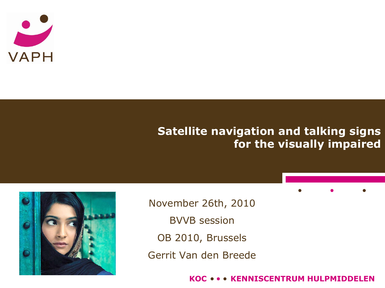

### **Satellite navigation and talking signs for the visually impaired**



November 26th, 2010 BVVB session OB 2010, Brussels Gerrit Van den Breede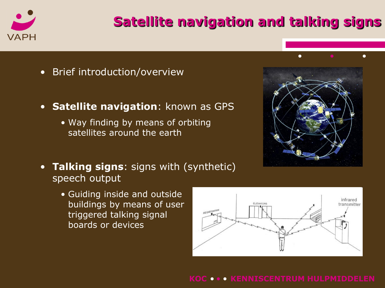

# **Satellite navigation and talking signs**

- Brief introduction/overview
- **Satellite navigation**: known as GPS
	- Way finding by means of orbiting satellites around the earth
- **Talking signs**: signs with (synthetic) speech output
	- Guiding inside and outside buildings by means of user triggered talking signal boards or devices

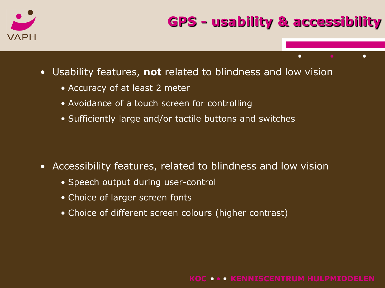

- Usability features, **not** related to blindness and low vision
	- Accuracy of at least 2 meter
	- Avoidance of a touch screen for controlling
	- Sufficiently large and/or tactile buttons and switches

- Accessibility features, related to blindness and low vision
	- Speech output during user-control
	- Choice of larger screen fonts
	- Choice of different screen colours (higher contrast)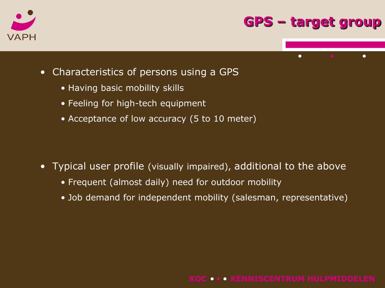

### **GPS – target group**



- Characteristics of persons using a GPS
	- Having basic mobility skills
	- Feeling for high-tech equipment
	- Acceptance of low accuracy (5 to 10 meter)

- Typical user profile (visually impaired), additional to the above
	- Frequent (almost daily) need for outdoor mobility
	- Job demand for independent mobility (salesman, representative)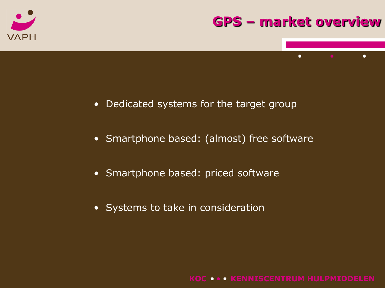

### **GPS – market overview**

 $\bullet$ 

 $\bullet$ 

- Dedicated systems for the target group
- Smartphone based: (almost) free software
- Smartphone based: priced software
- Systems to take in consideration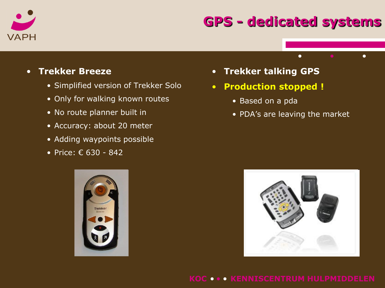

### **GPS - dedicated systems**

 $\bullet$ 

- **Trekker Breeze**
	- Simplified version of Trekker Solo
	- Only for walking known routes
	- No route planner built in
	- Accuracy: about 20 meter
	- Adding waypoints possible
	- Price: € 630 842



- **Production stopped !**
	- Based on a pda
	- PDA's are leaving the market



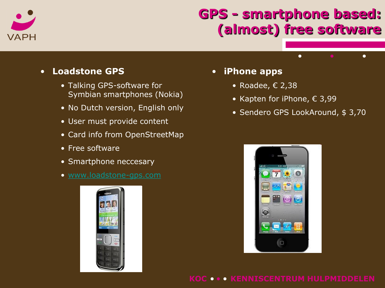

# **GPS - smartphone based: (almost) free software**

#### • **Loadstone GPS**

- Talking GPS-software for Symbian smartphones (Nokia)
- No Dutch version, English only
- User must provide content
- Card info from OpenStreetMap
- Free software
- Smartphone neccesary
- [www.loadstone-gps.com](http://www.loadstone-gps.com/)



#### • **iPhone apps**

- Roadee,  $\epsilon$  2,38
- Kapten for iPhone,  $\epsilon$  3,99
- Sendero GPS LookAround, \$ 3,70

 $\bullet$ 

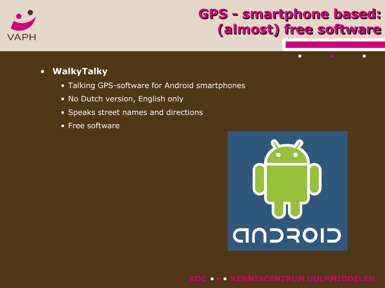

# **GPS - smartphone based: (almost) free software**

 $\bullet$ 

 $\bullet$ 

- **WalkyTalky**
	- Talking GPS-software for Android smartphones
	- No Dutch version, English only
	- Speaks street names and directions
	- Free software

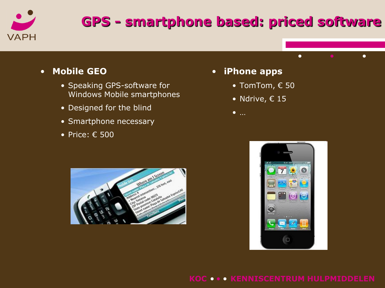

# **GPS - smartphone based: priced software**

#### • **Mobile GEO**

- Speaking GPS-software for Windows Mobile smartphones
- Designed for the blind
- Smartphone necessary
- Price: € 500
- **iPhone apps**
	- TomTom, € 50
	- Ndrive,  $\epsilon$  15
	- …





 $\bullet$ 

 $\bullet$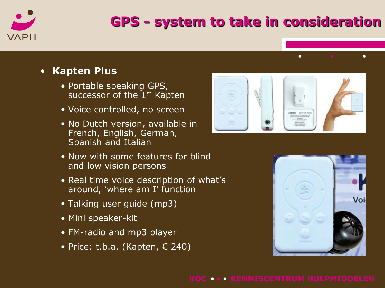

# **GPS - system to take in consideration**

#### • **Kapten Plus**

- Portable speaking GPS, successor of the 1<sup>st</sup> Kapten
- Voice controlled, no screen
- No Dutch version, available in French, English, German, Spanish and Italian
- Now with some features for blind and low vision persons
- Real time voice description of what's around, 'where am I' function
- Talking user guide (mp3)
- Mini speaker-kit
- FM-radio and mp3 player
- Price: t.b.a. (Kapten,  $\epsilon$  240)



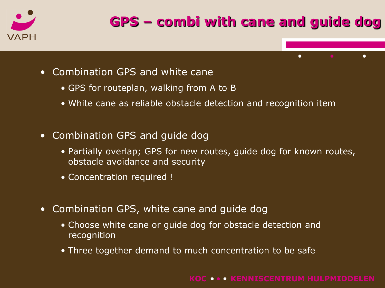

- Combination GPS and white cane
	- GPS for routeplan, walking from A to B
	- White cane as reliable obstacle detection and recognition item
- Combination GPS and guide dog
	- Partially overlap; GPS for new routes, guide dog for known routes, obstacle avoidance and security
	- Concentration required !
- Combination GPS, white cane and guide dog
	- Choose white cane or guide dog for obstacle detection and recognition
	- Three together demand to much concentration to be safe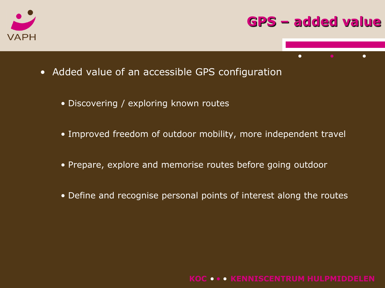

### **GPS – added value**

 $\bullet$ 

- Added value of an accessible GPS configuration
	- Discovering / exploring known routes
	- Improved freedom of outdoor mobility, more independent travel
	- Prepare, explore and memorise routes before going outdoor
	- Define and recognise personal points of interest along the routes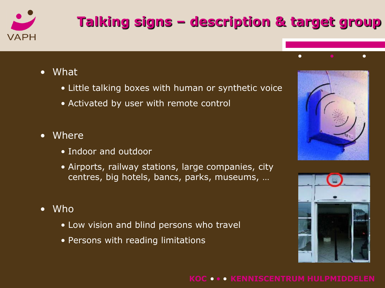

# **Talking signs – description & target group**

- What
	- Little talking boxes with human or synthetic voice
	- Activated by user with remote control
- **Where** 
	- Indoor and outdoor
	- Airports, railway stations, large companies, city centres, big hotels, bancs, parks, museums, …
- Who
	- Low vision and blind persons who travel
	- Persons with reading limitations



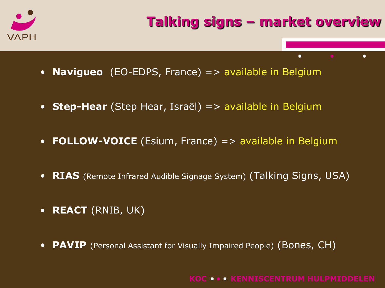

- **Navigueo** (EO-EDPS, France) => available in Belgium
- **Step-Hear** (Step Hear, Israël) => available in Belgium
- **FOLLOW-VOICE** (Esium, France) => available in Belgium
- **RIAS** (Remote Infrared Audible Signage System) (Talking Signs, USA)
- **REACT** (RNIB, UK)
- **PAVIP** (Personal Assistant for Visually Impaired People) (Bones, CH)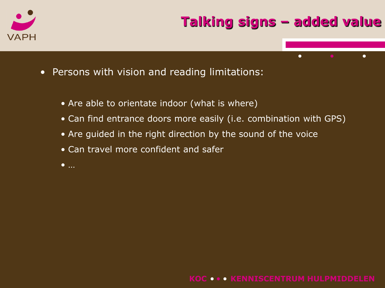



- Are able to orientate indoor (what is where)
- Can find entrance doors more easily (i.e. combination with GPS)
- Are guided in the right direction by the sound of the voice
- Can travel more confident and safer
- …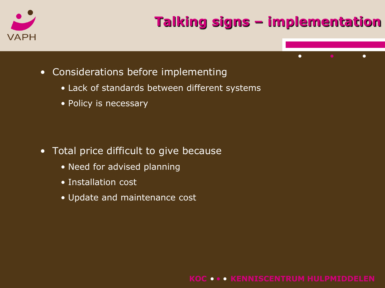

- Considerations before implementing
	- Lack of standards between different systems
	- Policy is necessary

- Total price difficult to give because
	- Need for advised planning
	- Installation cost
	- Update and maintenance cost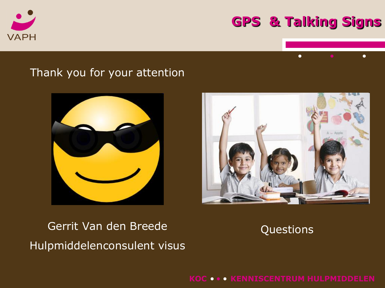

### **GPS & Talking Signs**

 $\bullet$ 

### Thank you for your attention





## Gerrit Van den Breede Hulpmiddelenconsulent visus

Questions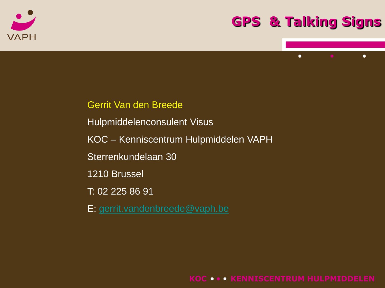

### **GPS & Talking Signs**

 $\bullet$ 

 $\bullet$ 



- Hulpmiddelenconsulent Visus
- KOC Kenniscentrum Hulpmiddelen VAPH
- Sterrenkundelaan 30
- 1210 Brussel
- T: 02 225 86 91
- E: [gerrit.vandenbreede@vaph.be](mailto:gerrit.vandenbreede@vaph.be)